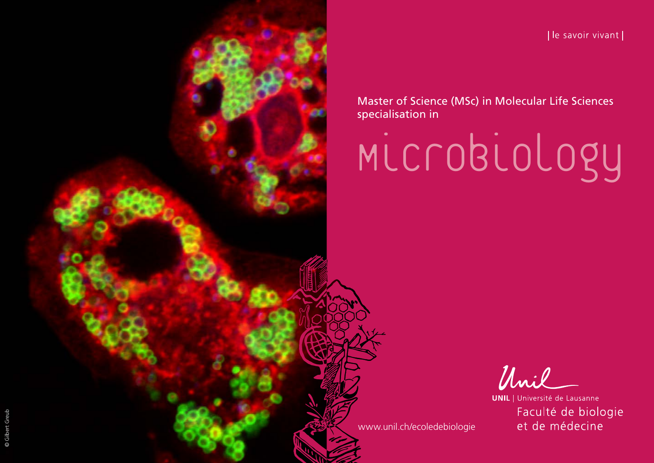[le savoir vivant]

Master of Science (MSc) in Molecular Life Sciences specialisation in

Microbiology

Unil

**UNIL** | Université de Lausanne Faculté de biologie et de médecine

[www.unil.ch/ecoledebiologie](http://www.unil.ch/ecoledebiologie)